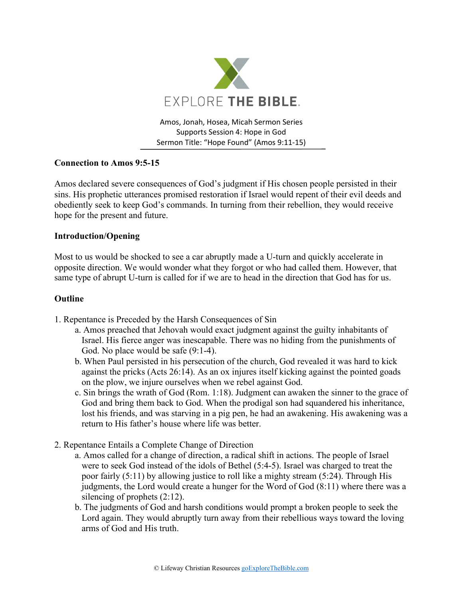

Amos, Jonah, Hosea, Micah Sermon Series Supports Session 4: Hope in God Sermon Title: "Hope Found" (Amos 9:11-15)

## **Connection to Amos 9:5-15**

Amos declared severe consequences of God's judgment if His chosen people persisted in their sins. His prophetic utterances promised restoration if Israel would repent of their evil deeds and obediently seek to keep God's commands. In turning from their rebellion, they would receive hope for the present and future.

## **Introduction/Opening**

Most to us would be shocked to see a car abruptly made a U-turn and quickly accelerate in opposite direction. We would wonder what they forgot or who had called them. However, that same type of abrupt U-turn is called for if we are to head in the direction that God has for us.

## **Outline**

- 1. Repentance is Preceded by the Harsh Consequences of Sin
	- a. Amos preached that Jehovah would exact judgment against the guilty inhabitants of Israel. His fierce anger was inescapable. There was no hiding from the punishments of God. No place would be safe (9:1-4).
	- b. When Paul persisted in his persecution of the church, God revealed it was hard to kick against the pricks (Acts 26:14). As an ox injures itself kicking against the pointed goads on the plow, we injure ourselves when we rebel against God.
	- c. Sin brings the wrath of God (Rom. 1:18). Judgment can awaken the sinner to the grace of God and bring them back to God. When the prodigal son had squandered his inheritance, lost his friends, and was starving in a pig pen, he had an awakening. His awakening was a return to His father's house where life was better.
- 2. Repentance Entails a Complete Change of Direction
	- a. Amos called for a change of direction, a radical shift in actions. The people of Israel were to seek God instead of the idols of Bethel (5:4-5). Israel was charged to treat the poor fairly (5:11) by allowing justice to roll like a mighty stream (5:24). Through His judgments, the Lord would create a hunger for the Word of God (8:11) where there was a silencing of prophets (2:12).
	- b. The judgments of God and harsh conditions would prompt a broken people to seek the Lord again. They would abruptly turn away from their rebellious ways toward the loving arms of God and His truth.